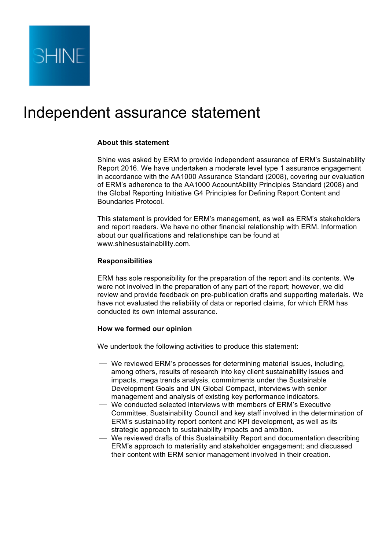

# Independent assurance statement

## **About this statement**

Shine was asked by ERM to provide independent assurance of ERM's Sustainability Report 2016. We have undertaken a moderate level type 1 assurance engagement in accordance with the AA1000 Assurance Standard (2008), covering our evaluation of ERM's adherence to the AA1000 AccountAbility Principles Standard (2008) and the Global Reporting Initiative G4 Principles for Defining Report Content and Boundaries Protocol.

This statement is provided for ERM's management, as well as ERM's stakeholders and report readers. We have no other financial relationship with ERM. Information about our qualifications and relationships can be found at www.shinesustainability.com.

## **Responsibilities**

ERM has sole responsibility for the preparation of the report and its contents. We were not involved in the preparation of any part of the report; however, we did review and provide feedback on pre-publication drafts and supporting materials. We have not evaluated the reliability of data or reported claims, for which ERM has conducted its own internal assurance.

#### **How we formed our opinion**

We undertook the following activities to produce this statement:

- We reviewed ERM's processes for determining material issues, including, among others, results of research into key client sustainability issues and impacts, mega trends analysis, commitments under the Sustainable Development Goals and UN Global Compact, interviews with senior management and analysis of existing key performance indicators.
- ⎯ We conducted selected interviews with members of ERM's Executive Committee, Sustainability Council and key staff involved in the determination of ERM's sustainability report content and KPI development, as well as its strategic approach to sustainability impacts and ambition.
- ⎯ We reviewed drafts of this Sustainability Report and documentation describing ERM's approach to materiality and stakeholder engagement; and discussed their content with ERM senior management involved in their creation.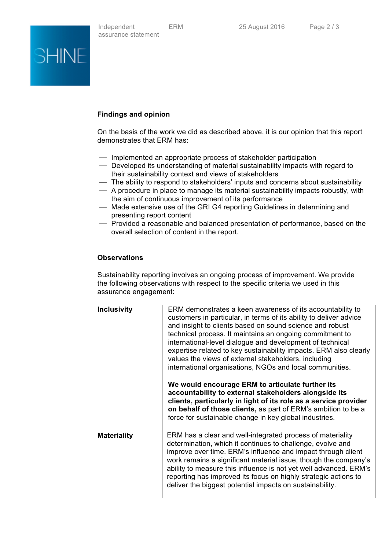

# **Findings and opinion**

On the basis of the work we did as described above, it is our opinion that this report demonstrates that ERM has:

- $-$  Implemented an appropriate process of stakeholder participation
- Developed its understanding of material sustainability impacts with regard to their sustainability context and views of stakeholders
- ⎯ The ability to respond to stakeholders' inputs and concerns about sustainability
- ⎯ A procedure in place to manage its material sustainability impacts robustly, with the aim of continuous improvement of its performance
- Made extensive use of the GRI G4 reporting Guidelines in determining and presenting report content
- ⎯ Provided a reasonable and balanced presentation of performance, based on the overall selection of content in the report.

# **Observations**

Sustainability reporting involves an ongoing process of improvement. We provide the following observations with respect to the specific criteria we used in this assurance engagement:

| <b>Inclusivity</b> | ERM demonstrates a keen awareness of its accountability to<br>customers in particular, in terms of its ability to deliver advice<br>and insight to clients based on sound science and robust<br>technical process. It maintains an ongoing commitment to<br>international-level dialogue and development of technical<br>expertise related to key sustainability impacts. ERM also clearly<br>values the views of external stakeholders, including<br>international organisations, NGOs and local communities.<br>We would encourage ERM to articulate further its<br>accountability to external stakeholders alongside its<br>clients, particularly in light of its role as a service provider<br>on behalf of those clients, as part of ERM's ambition to be a |
|--------------------|------------------------------------------------------------------------------------------------------------------------------------------------------------------------------------------------------------------------------------------------------------------------------------------------------------------------------------------------------------------------------------------------------------------------------------------------------------------------------------------------------------------------------------------------------------------------------------------------------------------------------------------------------------------------------------------------------------------------------------------------------------------|
|                    | force for sustainable change in key global industries.                                                                                                                                                                                                                                                                                                                                                                                                                                                                                                                                                                                                                                                                                                           |
| <b>Materiality</b> | ERM has a clear and well-integrated process of materiality<br>determination, which it continues to challenge, evolve and<br>improve over time. ERM's influence and impact through client<br>work remains a significant material issue, though the company's<br>ability to measure this influence is not yet well advanced. ERM's<br>reporting has improved its focus on highly strategic actions to<br>deliver the biggest potential impacts on sustainability.                                                                                                                                                                                                                                                                                                  |